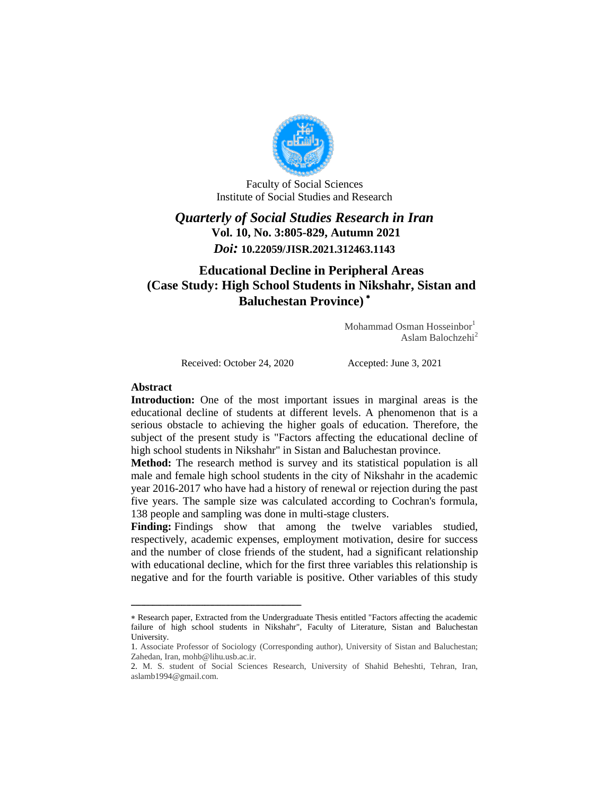

Faculty of Social Sciences Institute of Social Studies and Research

## *Quarterly of Social Studies Research in Iran* **Vol. 10, No. 3:805-829, Autumn 2021** *Doi:* **10.22059/JISR.2021.312463.1143**

# **Educational Decline in Peripheral Areas (Case Study: High School Students in Nikshahr, Sistan and Baluchestan Province)**

Mohammad Osman Hosseinbor<sup>1</sup> Aslam Balochzehi<sup>2</sup>

Received: October 24, 2020 Accepted: June 3, 2021

ـــــــــــــــــــــــــــــــــــــــــــــــــــــــــــــــ ـــــــــــــــــــــــــــــــــــــــــــــــــــــــــــــــــــــــــــــــــ

#### **Abstract**

**Introduction:** One of the most important issues in marginal areas is the educational decline of students at different levels. A phenomenon that is a serious obstacle to achieving the higher goals of education. Therefore, the subject of the present study is "Factors affecting the educational decline of high school students in Nikshahr" in Sistan and Baluchestan province.

**Method:** The research method is survey and its statistical population is all male and female high school students in the city of Nikshahr in the academic year 2016-2017 who have had a history of renewal or rejection during the past five years. The sample size was calculated according to Cochran's formula, 138 people and sampling was done in multi-stage clusters.

**Finding:** Findings show that among the twelve variables studied, respectively, academic expenses, employment motivation, desire for success and the number of close friends of the student, had a significant relationship with educational decline, which for the first three variables this relationship is negative and for the fourth variable is positive. Other variables of this study

Research paper, Extracted from the Undergraduate Thesis entitled "Factors affecting the academic failure of high school students in Nikshahr", Faculty of Literature, Sistan and Baluchestan University.

<sup>1.</sup> Associate Professor of Sociology (Corresponding author), University of Sistan and Baluchestan; Zahedan, Iran, mohb@lihu.usb.ac.ir.

<sup>2.</sup> M. S. student of Social Sciences Research, University of Shahid Beheshti, Tehran, Iran, aslamb1994@gmail.com.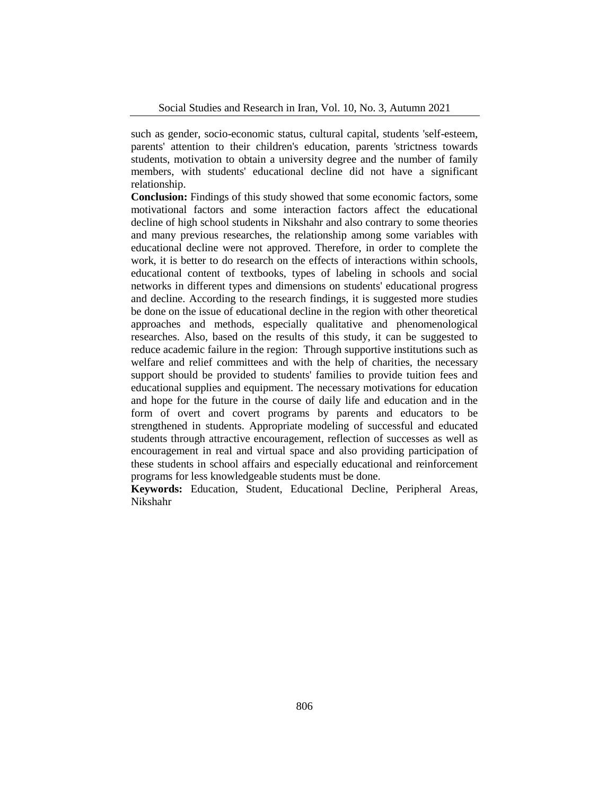such as gender, socio-economic status, cultural capital, students 'self-esteem, parents' attention to their children's education, parents 'strictness towards students, motivation to obtain a university degree and the number of family members, with students' educational decline did not have a significant relationship.

**Conclusion:** Findings of this study showed that some economic factors, some motivational factors and some interaction factors affect the educational decline of high school students in Nikshahr and also contrary to some theories and many previous researches, the relationship among some variables with educational decline were not approved. Therefore, in order to complete the work, it is better to do research on the effects of interactions within schools, educational content of textbooks, types of labeling in schools and social networks in different types and dimensions on students' educational progress and decline. According to the research findings, it is suggested more studies be done on the issue of educational decline in the region with other theoretical approaches and methods, especially qualitative and phenomenological researches. Also, based on the results of this study, it can be suggested to reduce academic failure in the region: Through supportive institutions such as welfare and relief committees and with the help of charities, the necessary support should be provided to students' families to provide tuition fees and educational supplies and equipment. The necessary motivations for education and hope for the future in the course of daily life and education and in the form of overt and covert programs by parents and educators to be strengthened in students. Appropriate modeling of successful and educated students through attractive encouragement, reflection of successes as well as encouragement in real and virtual space and also providing participation of these students in school affairs and especially educational and reinforcement programs for less knowledgeable students must be done.

**Keywords:** Education, Student, Educational Decline, Peripheral Areas, Nikshahr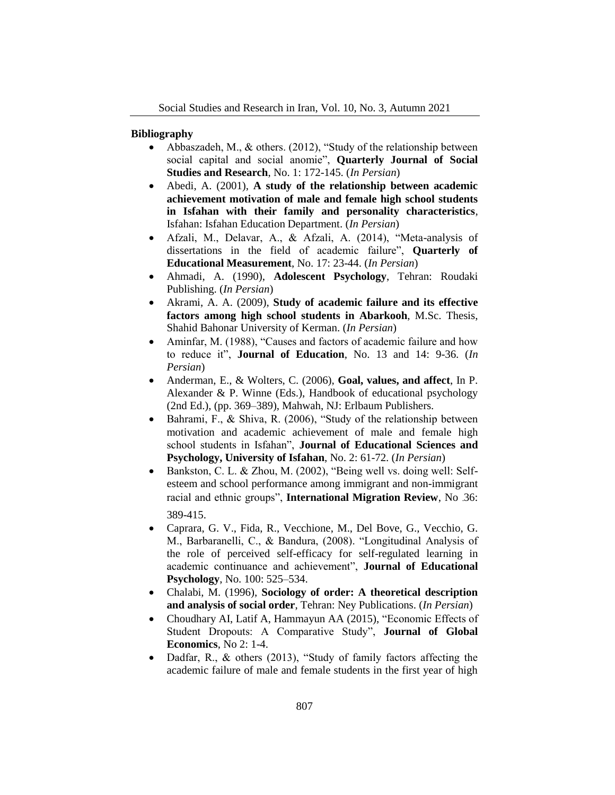#### **Bibliography**

- Abbaszadeh, M., & others. (2012), "Study of the relationship between social capital and social anomie", **Quarterly Journal of Social Studies and Research**, No. 1: 172-145. (*In Persian*)
- Abedi, A. (2001), **A study of the relationship between academic achievement motivation of male and female high school students in Isfahan with their family and personality characteristics**, Isfahan: Isfahan Education Department. (*In Persian*)
- Afzali, M., Delavar, A., & Afzali, A. (2014), "Meta-analysis of dissertations in the field of academic failure", **Quarterly of Educational Measurement**, No. 17: 23-44. (*In Persian*)
- Ahmadi, A. (1990), **Adolescent Psychology**, Tehran: Roudaki Publishing. (*In Persian*)
- Akrami, A. A. (2009), **Study of academic failure and its effective factors among high school students in Abarkooh**, M.Sc. Thesis, Shahid Bahonar University of Kerman. (*In Persian*)
- Aminfar, M. (1988), "Causes and factors of academic failure and how to reduce it", **Journal of Education**, No. 13 and 14: 9-36. (*In Persian*)
- Anderman, E., & Wolters, C. (2006), **Goal, values, and affect**, In P. Alexander & P. Winne (Eds.), Handbook of educational psychology (2nd Ed.), (pp. 369–389), Mahwah, NJ: Erlbaum Publishers.
- $\bullet$  Bahrami, F., & Shiva, R. (2006), "Study of the relationship between motivation and academic achievement of male and female high school students in Isfahan", **Journal of Educational Sciences and Psychology, University of Isfahan**, No. 2: 61-72. (*In Persian*)
- Bankston, C. L. & Zhou, M. (2002), "Being well vs. doing well: Selfesteem and school performance among immigrant and non-immigrant racial and ethnic groups", **International Migration Review**, No .36: 389-415.
- Caprara, G. V., Fida, R., Vecchione, M., Del Bove, G., Vecchio, G. M., Barbaranelli, C., & Bandura, (2008). "Longitudinal Analysis of the role of perceived self-efficacy for self-regulated learning in academic continuance and achievement", **Journal of Educational Psychology**, No. 100: 525–534.
- Chalabi, M. (1996), **Sociology of order: A theoretical description and analysis of social order**, Tehran: Ney Publications. (*In Persian*)
- Choudhary AI, Latif A, Hammayun AA (2015), "Economic Effects of Student Dropouts: A Comparative Study", **Journal of Global Economics**, No 2: 1-4.
- Dadfar, R., & others (2013), "Study of family factors affecting the academic failure of male and female students in the first year of high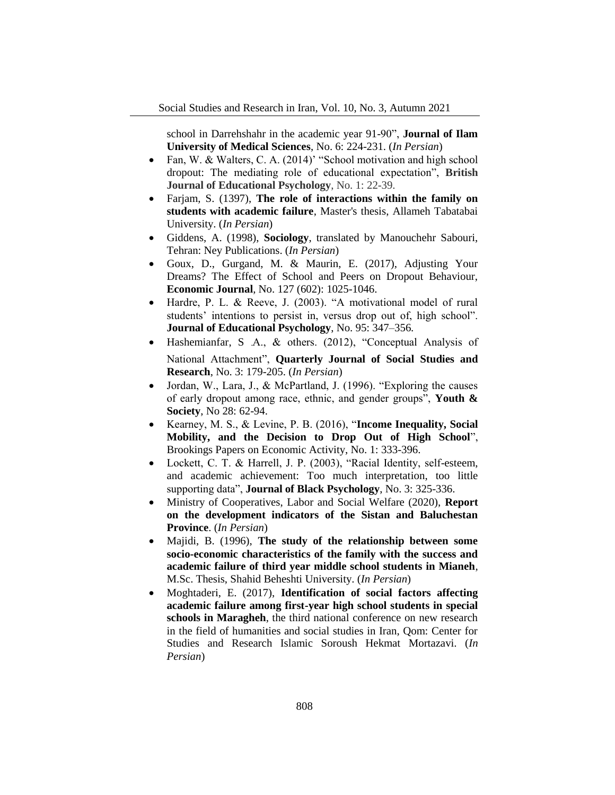school in Darrehshahr in the academic year 91-90", **Journal of Ilam University of Medical Sciences**, No. 6: 224-231. (*In Persian*)

- Fan, W. & Walters, C. A. (2014)' "School motivation and high school dropout: The mediating role of educational expectation", **British Journal of Educational Psychology**, No. 1: 22-39.
- Farjam, S. (1397), **The role of interactions within the family on students with academic failure**, Master's thesis, Allameh Tabatabai University. (*In Persian*)
- Giddens, A. (1998), **Sociology**, translated by Manouchehr Sabouri, Tehran: Ney Publications. (*In Persian*)
- Goux, D., Gurgand, M. & Maurin, E. (2017), Adjusting Your Dreams? The Effect of School and Peers on Dropout Behaviour, **Economic Journal**, No. 127 (602): 1025-1046.
- Hardre, P. L. & Reeve, J. (2003). "A motivational model of rural students' intentions to persist in, versus drop out of, high school". **Journal of Educational Psychology**, No. 95: 347–356.
- Hashemianfar, S. A., & others. (2012), "Conceptual Analysis of National Attachment", **Quarterly Journal of Social Studies and Research**, No. 3: 179-205. (*In Persian*)
- Jordan, W., Lara, J., & McPartland, J. (1996). "Exploring the causes of early dropout among race, ethnic, and gender groups", **Youth & Society**, No 28: 62-94.
- Kearney, M. S., & Levine, P. B. (2016), "**Income Inequality, Social Mobility, and the Decision to Drop Out of High School**", Brookings Papers on Economic Activity, No. 1: 333-396.
- Lockett, C. T. & Harrell, J. P. (2003), "Racial Identity, self-esteem, and academic achievement: Too much interpretation, too little supporting data", **Journal of Black Psychology**, No. 3: 325-336.
- Ministry of Cooperatives, Labor and Social Welfare (2020), **Report on the development indicators of the Sistan and Baluchestan Province**. (*In Persian*)
- Majidi, B. (1996), **The study of the relationship between some socio-economic characteristics of the family with the success and academic failure of third year middle school students in Mianeh**, M.Sc. Thesis, Shahid Beheshti University. (*In Persian*)
- Moghtaderi, E. (2017), **Identification of social factors affecting academic failure among first-year high school students in special schools in Maragheh**, the third national conference on new research in the field of humanities and social studies in Iran, Qom: Center for Studies and Research Islamic Soroush Hekmat Mortazavi. (*In Persian*)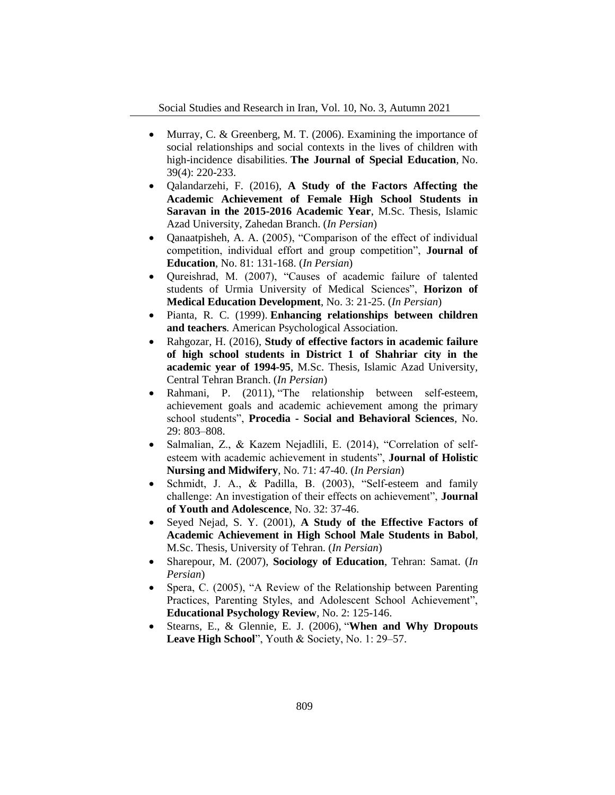- Murray, C. & Greenberg, M. T. (2006). Examining the importance of social relationships and social contexts in the lives of children with high-incidence disabilities. **The Journal of Special Education***,* No. 39(4): 220-233.
- Qalandarzehi, F. (2016), **A Study of the Factors Affecting the Academic Achievement of Female High School Students in Saravan in the 2015-2016 Academic Year**, M.Sc. Thesis, Islamic Azad University, Zahedan Branch. (*In Persian*)
- Qanaatpisheh, A. A. (2005), "Comparison of the effect of individual competition, individual effort and group competition", **Journal of Education**, No. 81: 131-168. (*In Persian*)
- Qureishrad, M. (2007), "Causes of academic failure of talented students of Urmia University of Medical Sciences", **Horizon of Medical Education Development**, No. 3: 21-25. (*In Persian*)
- Pianta, R. C. (1999). **Enhancing relationships between children and teachers***.* American Psychological Association.
- Rahgozar, H. (2016), **Study of effective factors in academic failure of high school students in District 1 of Shahriar city in the academic year of 1994-95**, M.Sc. Thesis, Islamic Azad University, Central Tehran Branch. (*In Persian*)
- Rahmani, P. (2011), "The relationship between self-esteem, achievement goals and academic achievement among the primary school students", **Procedia - Social and Behavioral Sciences**, No. 29: 803–808.
- Salmalian, Z., & Kazem Nejadlili, E. (2014), "Correlation of selfesteem with academic achievement in students", **Journal of Holistic Nursing and Midwifery**, No. 71: 47-40. (*In Persian*)
- Schmidt, J. A., & Padilla, B. (2003), "Self-esteem and family challenge: An investigation of their effects on achievement", **Journal of Youth and Adolescence**, No. 32: 37-46.
- Seyed Nejad, S. Y. (2001), **A Study of the Effective Factors of Academic Achievement in High School Male Students in Babol**, M.Sc. Thesis, University of Tehran. (*In Persian*)
- Sharepour, M. (2007), **Sociology of Education**, Tehran: Samat. (*In Persian*)
- Spera, C. (2005), "A Review of the Relationship between Parenting Practices, Parenting Styles, and Adolescent School Achievement", **Educational Psychology Review**, No. 2: 125-146.
- Stearns, E., & Glennie, E. J. (2006), "**When and Why Dropouts Leave High School**", Youth & Society, No. 1: 29–57.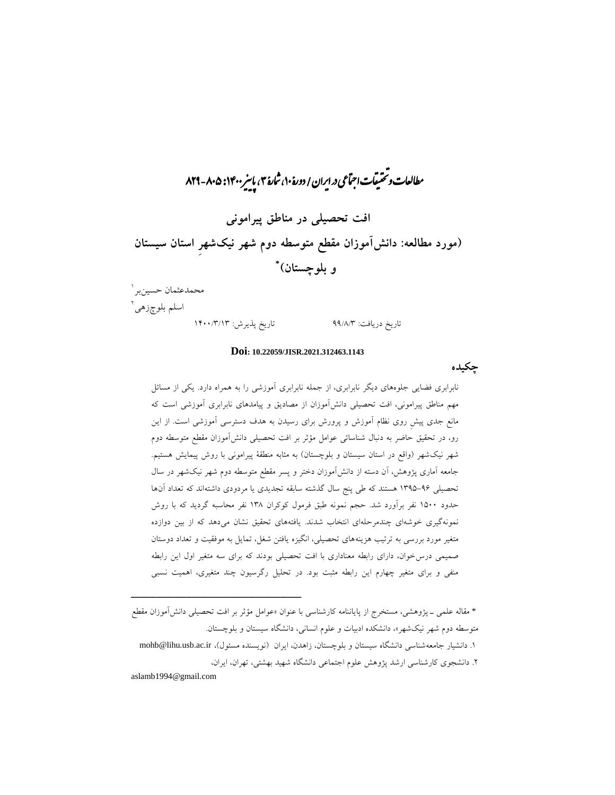# ,<br>, مطالعات و بختیفات اجتماعی در ایران / دورۀ ۱۰، شارۀ ۳، پاییز ۱۴۰۰: ۸۲۹-۸۲۹ **افت تحصیلی در مناطق پیرامونی )مورد مطالعه: دانشآموزان مقطع متوسطه دوم شهر نیکشهرِ استان سیستان \* و بلوچستان(** 1 محمدعثمان حسینبر

اسلم بلوچزه*ی*`

تاریخ دریافت: 99/8/3 تاریخ پذیرش: 1011/3/13

#### **Doi: 10.22059/JISR.2021.312463.1143**

**چکیده**

نابرابری فضایی جلوههای دیگر نابرابری، از جمله نابرابری آموزشی را به همراه دارد. یکی از مسائل مهم مناطق پیرامونی، افت تحصیلی دانشآموزان از مصادیق و پیامدهای نابرابری آموزشی است كه مانع جدی پیشِ روی نظام آموزش و پرورش برای رسیدن به هدف دسترسی آموزشی است. از این رو، در تحقیق حاضر به دنبال شناسائی عوامل مؤثر بر افت تحصیلی دانشآموزان مقطع متوسطه دوم شهر نیکشهر )واقع در استان سیستان و بلوچستان( به مثابه منطقۀ پیرامونی با روش پیمایش هستیم. جامعه آماری پژوهش، آن دسته از دانشآموزان دختر و پسر مقطع متوسطه دوم شهر نیکشهر در سال تحصیلی 1391-99 هستند كه طی پنج سال گذشته سابقه تجدیدی یا مردودی داشتهاند كه تعداد آنها حدود 1111 نفر برآورد شد. حجم نمونه طبق فرمول كوكران 138 نفر محاسبه گردید كه با روش نمونهگیری خوشهای چندمرحلهای انتخاب شدند. یافتههای تحقیق نشان میدهد كه از بین دوازده متغیر مورد بررسی به ترتیب هزینههای تحصیلی، انگیزه یافتن شغل، تمایل به موفقیت و تعداد دوستان صمیمی درسخوان، دارای رابطه معناداری با افت تحصیلی بودند كه برای سه متغیر اول این رابطه منفی و برای متغیر چهارم این رابطه مثبت بود. در تحلیل رگرسیون چند متغیری، اهمیت نسبی

\* مقاله علمی ـ پژوهشی، مستخرج از پایاننامه كارشناسی با عنوان »عوامل مؤثر بر افت تحصیلی دانشآموزان مقطع متوسطه دوم شهر نیکشهر«، دانشکده ادبیات و علوم انسانی، دانشگاه سیستان و بلوچستان.

1. دانشیار جامعهشناسی دانشگاه سیستان و بلوچستان، زاهدن، ایران (نویسنده مسئول)، mohb@lihu.usb.ac.ir .2 دانشجوی كارشناسی ارشد پژوهش علوم اجتماعی دانشگاه شهید بهشتی، تهران، ایران،

aslamb1994@gmail.com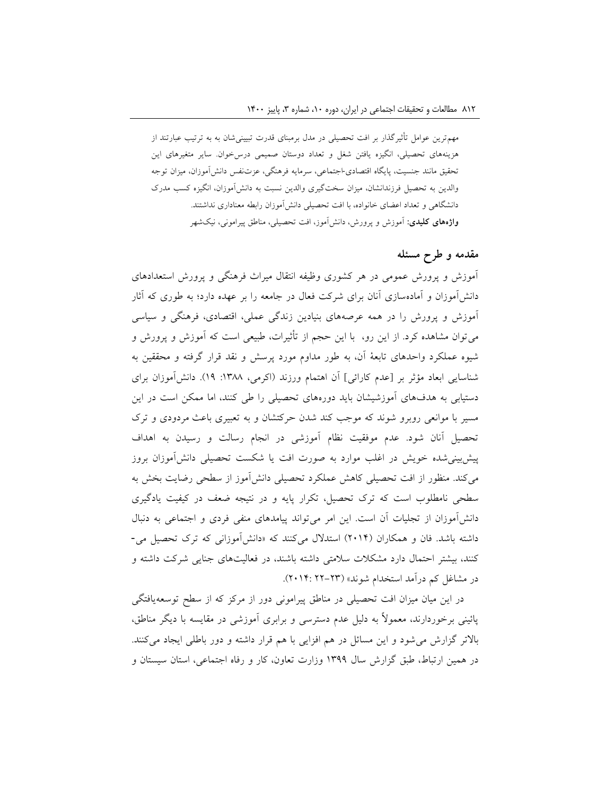مهمترین عوامل تأثیرگذار بر افت تحصیلی در مدل برمبنای قدرت تبیینیشان به به ترتیب عبارتند از هزینههای تحصیلی، انگیزه یافتن شغل و تعداد دوستان صمیمی درسخوان. سایر متغیرهای این تحقیق مانند جنسیت، پایگاه اقتصادی-اجتماعی، سرمایه فرهنگی، عزتنفس دانشآموزان، میزان توجه والدین به تحصیل فرزندانشان، میزان سختگیری والدین نسبت به دانشآموزان، انگیزه كسب مدرک دانشگاهی و تعداد اعضای خانواده، با افت تحصیلی دانشآموزان رابطه معناداری نداشتند. **واژههای کلیدی:** آموزش و پرورش، دانشآموز، افت تحصیلی، مناطق پیرامونی، نیکشهر

## **مقدمه و طرح مسئله**

آموزش و پرورش عمومی در هر كشوری وظیفه انتقال میراث فرهنگی و پرورش استعدادهای دانشآموزان و آمادهسازی آنان برای شركت فعال در جامعه را بر عهده دارد؛ به طوری كه آثار آموزش و پرورش را در همه عرصههای بنیادین زندگی عملی، اقتصادی، فرهنگی و سیاسی میتوان مشاهده كرد. از این رو، با این حجم از تأثیرات، طبیعی است كه آموزش و پرورش و شیوه عملکرد واحدهای تابعۀ آن، به طور مداوم مورد پرسش و نقد قرار گرفته و محققین به شناسایی ابعاد مؤثر بر [عدم كارائی] آن اهتمام ورزند (اكرمی، ۱۳۸۸: ۱۹). دانشآموزان برای دستیابی به هدفهای آموزشیشان باید دورههای تحصیلی را طی كنند، اما ممکن است در این مسیر با موانعی روبرو شوند كه موجب كند شدن حركتشان و به تعبیری باعث مردودی و ترک تحصیل آنان شود. عدم موفقیت نظام آموزشی در انجام رسالت و رسیدن به اهداف پیشبینیشده خویش در اغلب موارد به صورت افت یا شکست تحصیلی دانشآموزان بروز میكند. منظور از افت تحصیلی كاهش عملکرد تحصیلی دانشآموز از سطحی رضایت بخش به سطحی نامطلوب است كه ترک تحصیل، تکرار پایه و در نتیجه ضعف در كیفیت یادگیری دانشآموزان از تجلیات آن است. این امر میتواند پیامدهای منفی فردی و اجتماعی به دنبال داشته باشد. فان و همکاران )2110( استدالل میكنند كه »دانشآموزانی كه ترک تحصیل می- كنند، بیشتر احتمال دارد مشکالت سالمتی داشته باشند، در فعالیتهای جنایی شركت داشته و در مشاغل كم درآمد استخدام شوند» (٢٣-٢٢: ٢٠١۴).

در این میان میزان افت تحصیلی در مناطق پیرامونی دور از مركز كه از سطح توسعهیافتگی پائینی برخوردارند، معموالً به دلیل عدم دسترسی و برابری آموزشی در مقایسه با دیگر مناطق، باالتر گزارش میشود و این مسائل در هم افزایی با هم قرار داشته و دور باطلی ایجاد میكنند. در همین ارتباط، طبق گزارش سال 1399 وزارت تعاون، كار و رفاه اجتماعی، استان سیستان و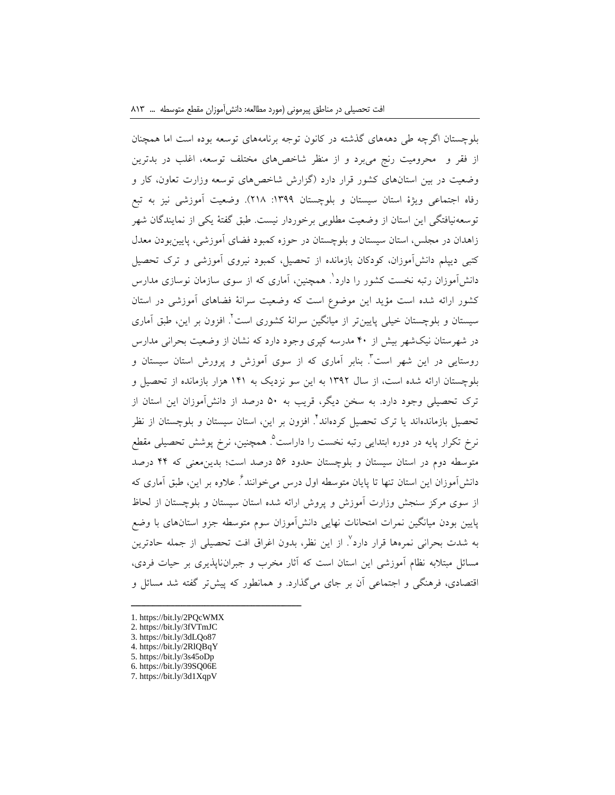بلوچستان اگرچه طی دهههای گذشته در كانون توجه برنامههای توسعه بوده است اما همچنان از فقر و محرومیت رنج میبرد و از منظر شاخصهای مختلف توسعه، اغلب در بدترین وضعیت در بین استانهای كشور قرار دارد )گزارش شاخصهای توسعه وزارت تعاون، كار و رفاه اجتماعی ویژۀ استان سیستان و بلوچستان :1399 218(. وضعیت آموزشی نیز به تبع توسعهنیافتگی این استان از وضعیت مطلوبی برخوردار نیست. طبق گفتۀ یکی از نمایندگان شهر زاهدان در مجلس، استان سیستان و بلوچستان در حوزه كمبود فضای آموزشی، پایینبودن معدل كتبی دیپلم دانشآموزان، كودكان بازمانده از تحصیل، كمبود نیروی آموزشی و ترک تحصیل دانشآموزان رتبه نخست كشور را دارد'. همچنین، آماری كه از سوی سازمان نوسازی مدارس كشور ارائه شده است مؤید این موضوع است كه وضعیت سرانۀ فضاهای آموزشی در استان 2 سیستان و بلوچستان خیلی پایینتر از میانگین سرانۀ كشوری است . افزون بر این، طبق آماری در شهرستان نیکشهر بیش از 01 مدرسه كپری وجود دارد كه نشان از وضعیت بحرانی مدارس روستایی در این شهر است<sup>۲</sup>. بنابر آماری که از سوی آموزش و پرورش استان سیستان و بلوچستان ارائه شده است، از سال 1392 به این سو نزدیک به 101 هزار بازمانده از تحصیل و ترک تحصیلی وجود دارد. به سخن دیگر، قریب به 11 درصد از دانشآموزان این استان از نحصیل بازماندهاند یا ترک تحصیل کردهاند<sup>۲</sup>. افزون بر این، استان سیستان و بلوچستان از نظر نرخ تکرار پایه در دوره ابتدایی رتبه نخست را داراست<sup>۵</sup>. همچنین، نرخ پوشش تحصیلی مقطع متوسطه دوم در استان سیستان و بلوچستان حدود 19 درصد است؛ بدینمعنی كه 00 درصد دانشآموزان این استان تنها تا پایان متوسطه اول درس میخوانند<sup>٪</sup>. علاوه بر این، طبق آماری كه از سوی مركز سنجش وزارت آموزش و پروش ارائه شده استان سیستان و بلوچستان از لحاظ پایین بودن میانگین نمرات امتحانات نهایی دانشآموزان سوم متوسطه جزو استانهای با وضع به شدت بحرانی نمرهها قرار دارد<sup>٬</sup>. از این نظر، بدون اغراق افت تحصیلی از جمله حادترین مسائل مبتالبه نظام آموزشی این استان است كه آثار مخرب و جبرانناپذیری بر حیات فردی، اقتصادی، فرهنگی و اجتماعی آن بر جای میگذارد. و همانطور كه پیشتر گفته شد مسائل و

1. https://bit.ly/2PQcWMX

- 2. https://bit.ly/3fVTmJC
- 3. https://bit.ly/3dLQo87
- 4. https://bit.ly/2RlQBqY
- 5. https://bit.ly/3s45oDp
- 6. https://bit.ly/39SQ06E
- 7. https://bit.ly/3d1XqpV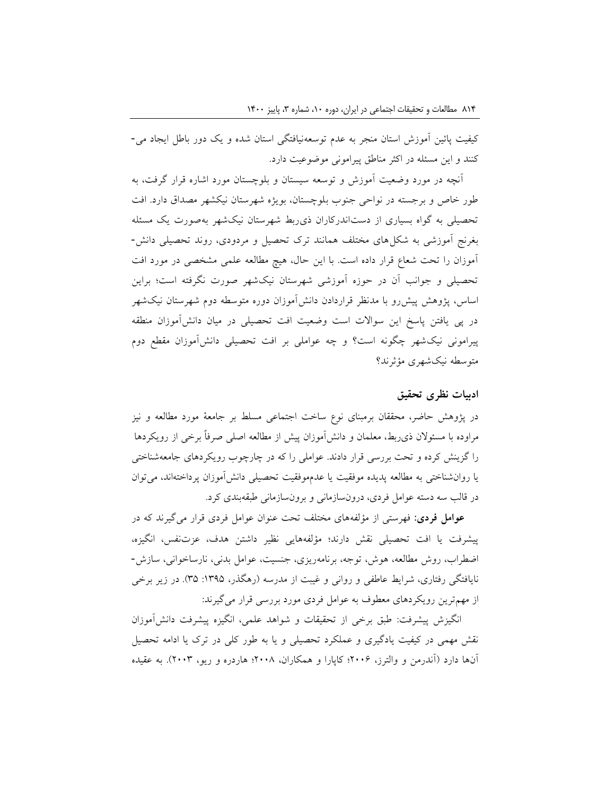كیفیت پائین آموزش استان منجر به عدم توسعهنیافتگی استان شده و یک دور باطل ایجاد می- كنند و این مسئله در اكثر مناطق پیرامونی موضوعیت دارد.

آنچه در مورد وضعیت آموزش و توسعه سیستان و بلوچستان مورد اشاره قرار گرفت، به طور خاص و برجسته در نواحی جنوب بلوچستان، بویژه شهرستان نیکشهر مصداق دارد. افت تحصیلی به گواه بسیاری از دستاندركاران ذیربط شهرستان نیکشهر بهصورت یک مسئله بغرنج آموزشی به شکلهای مختلف همانند ترک تحصیل و مردودی، روند تحصیلی دانش- آموزان را تحت شعاع قرار داده است. با این حال، هیچ مطالعه علمی مشخصی در مورد افت تحصیلی و جوانب آن در حوزه آموزشی شهرستان نیکشهر صورت نگرفته است؛ براین اساس، پژوهش پیشرو با مدنظر قراردادن دانشآموزان دوره متوسطه دوم شهرستان نیکشهر در پی یافتن پاسخ این سواالت است وضعیت افت تحصیلی در میان دانشآموزان منطقه پیرامونی نیکشهر چگونه است؟ و چه عواملی بر افت تحصیلی دانشآموزان مقطع دوم متوسطه نیکشهری مؤثرند؟

### **ادبیات نظری تحقیق**

در پژوهش حاضر، محققان برمبنای نوع ساخت اجتماعی مسلط بر جامعۀ مورد مطالعه و نیز مراوده با مسئوالن ذیربط، معلمان و دانشآموزان پیش از مطالعه اصلی صرفاً برخی از رویکردها را گزینش كرده و تحت بررسی قرار دادند. عواملی را كه در چارچوب رویکردهای جامعهشناختی یا روانشناختی به مطالعه پدیده موفقیت یا عدمموفقیت تحصیلی دانشآموزان پرداختهاند، میتوان در قالب سه دسته عوامل فردی، درونسازمانی و برونسازمانی طبقهبندی كرد.

**عوامل فردی:** فهرستی از مؤلفههای مختلف تحت عنوان عوامل فردی قرار میگیرند كه در پیشرفت یا افت تحصیلی نقش دارند؛ مؤلفههایی نظیر داشتن هدف، عزتنفس، انگیزه، اضطراب، روش مطالعه، هوش، توجه، برنامهریزی، جنسیت، عوامل بدنی، نارساخوانی، سازش- نایافتگی رفتاری، شرایط عاطفی و روانی و غیبت از مدرسه (رهگذر، ۱۳۹۵: ۳۵). در زیر برخی از مهمترین رویکردهای معطوف به عوامل فردی مورد بررسی قرار میگیرند:

انگیزش پیشرفت: طبق برخی از تحقیقات و شواهد علمی، انگیزه پیشرفت دانشآموزان نقش مهمی در كیفیت یادگیری و عملکرد تحصیلی و یا به طور كلی در ترک یا ادامه تحصیل آنها دارد )آندرمن و والترز، 2119؛ كاپارا و همکاران، 2118؛ هاردره و ریو، 2113(. به عقیده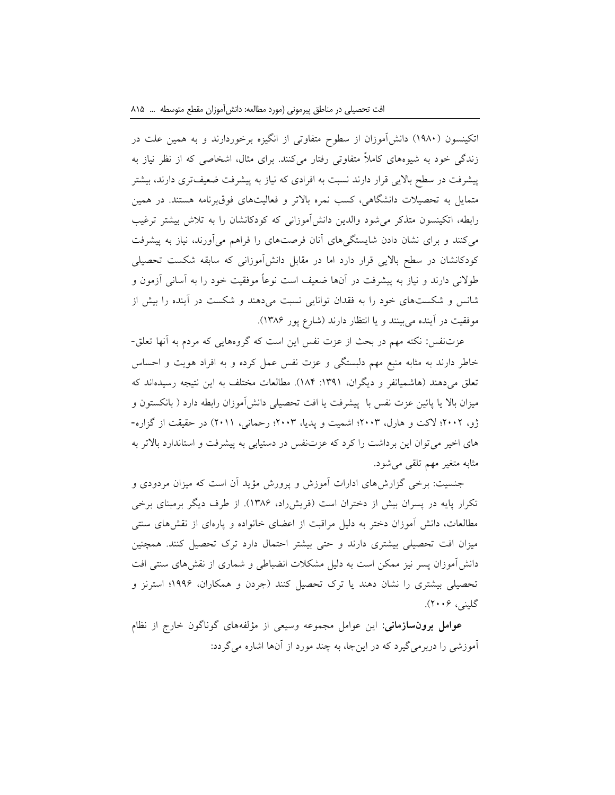اتکینسون )1981( دانشآموزان از سطوح متفاوتی از انگیزه برخوردارند و به همین علت در زندگی خود به شیوههای كامالً متفاوتی رفتار میكنند. برای مثال، اشخاصی كه از نظر نیاز به پیشرفت در سطح باالیی قرار دارند نسبت به افرادی كه نیاز به پیشرفت ضعیفتری دارند، بیشتر متمایل به تحصیالت دانشگاهی، كسب نمره باالتر و فعالیتهای فوقبرنامه هستند. در همین رابطه، اتکینسون متذكر میشود والدین دانشآموزانی كه كودكانشان را به تالش بیشتر ترغیب میكنند و برای نشان دادن شایستگیهای آنان فرصتهای را فراهم میآورند، نیاز به پیشرفت كودكانشان در سطح باالیی قرار دارد اما در مقابل دانشآموزانی كه سابقه شکست تحصیلی طوالنی دارند و نیاز به پیشرفت در آنها ضعیف است نوعاً موفقیت خود را به آسانی آزمون و شانس و شکستهای خود را به فقدان توانایی نسبت میدهند و شکست در آینده را بیش از موفقیت در آینده میبینند و یا انتظار دارند )شارع پور 1389(.

عزتنفس**:** نکته مهم در بحث از عزت نفس این است كه گروههایی كه مردم به آنها تعلق- خاطر دارند به مثابه منبع مهم دلبستگی و عزت نفس عمل كرده و به افراد هویت و احساس تعلق میدهند (هاشمیانفر و دیگران، ١٣٩١: ١٨۴). مطالعات مختلف به این نتیجه رسیدهاند كه میزان باال یا پائین عزت نفس با پیشرفت یا افت تحصیلی دانشآموزان رابطه دارد ) بانکستون و ژو، 2112؛ الكت و هارل، 2113؛ اشمیت و پدیا، 2113؛ رحمانی، 2111( در حقیقت از گزاره- های اخیر میتوان این برداشت را كرد كه عزتنفس در دستیابی به پیشرفت و استاندارد باالتر به مثابه متغیر مهم تلقی میشود.

جنسیت: برخی گزارشهای ادارات آموزش و پرورش مؤید آن است كه میزان مردودی و تکرار پایه در پسران بیش از دختران است )قریشراد، 1389(. از طرف دیگر برمبنای برخی مطالعات، دانش آموزان دختر به دلیل مراقبت از اعضای خانواده و پارهای از نقشهای سنتی میزان افت تحصیلی بیشتری دارند و حتی بیشتر احتمال دارد ترک تحصیل كنند. همچنین دانشآموزان پسر نیز ممکن است به دلیل مشکالت انضباطی و شماری از نقشهای سنتی افت تحصیلی بیشتری را نشان دهند یا ترک تحصیل كنند )جردن و همکاران، 1999؛ استرنز و گلینی، 2119(.

**عوامل برونسازمانی:** این عوامل مجموعه وسیعی از مؤلفههای گوناگون خارج از نظام آموزشی را دربرمیگیرد كه در اینجا، به چند مورد از آنها اشاره میگردد: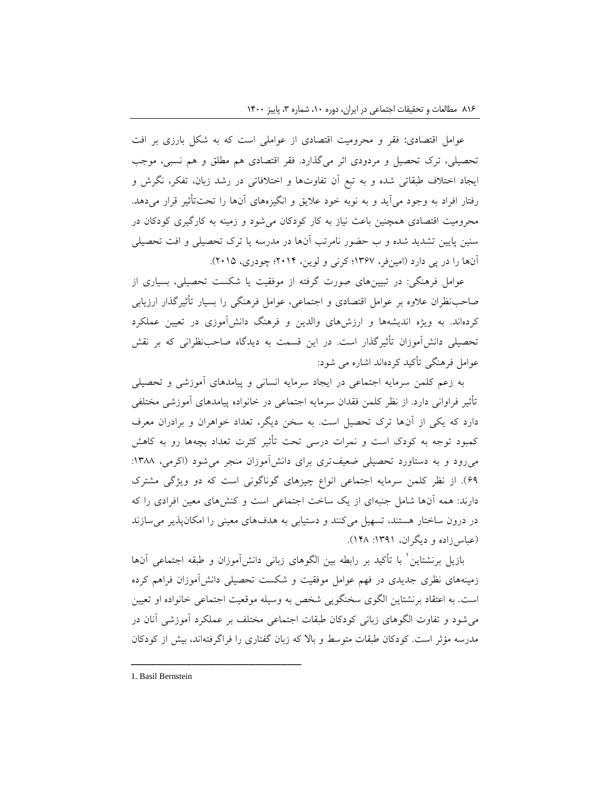عوامل اقتصادی**:** فقر و محرومیت اقتصادی از عواملی است كه به شکل بارزی بر افت تحصیلی، ترک تحصیل و مردودی اثر میگذارد. فقر اقتصادی هم مطلق و هم نسبی، موجب ایجاد اختالف طبقاتی شده و به تبع آن تفاوتها و اختالفاتی در رشد زبان، تفکر، نگرش و رفتار افراد به وجود میآید و به نوبه خود عالیق و انگیزههای آنها را تحتتأثیر قرار میدهد. محرومیت اقتصادی همچنین باعث نیاز به كار كودكان میشود و زمینه به كارگیری كودكان در سنین پایین تشدید شده و ب حضور نامرتب آنها در مدرسه یا ترک تحصیلی و افت تحصیلی آنها را در پی دارد )امینفر، 1397؛ كرنی و لوین، 2110؛ چودری، 2111(.

عوامل فرهنگی: در تبیینهای صورت گرفته از موفقیت یا شکست تحصیلی، بسیاری از صاحبنظران عالوه بر عوامل اقتصادی و اجتماعی، عوامل فرهنگی را بسیار تأثیرگذار ارزیابی كردهاند. به ویژه اندیشهها و ارزشهای والدین و فرهنگ دانشآموزی در تعیین عملکرد تحصیلی دانشآموزان تأثیرگذار است. در این قسمت به دیدگاه صاحبنظرانی كه بر نقش عوامل فرهنگی تأكید كردهاند اشاره می شود:

به زعم كلمن سرمایه اجتماعی در ایجاد سرمایه انسانی و پیامدهای آموزشی و تحصیلی تأثیر فراوانی دارد. از نظر كلمن فقدان سرمایه اجتماعی در خانواده پیامدهای آموزشی مختلفی دارد كه یکی از آنها ترک تحصیل است. به سخن دیگر، تعداد خواهران و برادران معرف كمبود توجه به كودک است و نمرات درسی تحت تأثیر كثرت تعداد بچهها رو به كاهش می رود و به دستاورد تحصیلی ضعیفتری برای دانش آموزان منجر می شود (اكرمی، ۱۳۸۸: 99(. از نظر كلمن سرمایه اجتماعی انواع چیزهای گوناگونی است كه دو ویژگی مشترک دارند: همه آنها شامل جنبهای از یک ساخت اجتماعی است و كنشهای معین افرادی را كه در درون ساختار هستند، تسهیل میكنند و دستیابی به هدفهای معینی را امکانپذیر میسازند )عباسزاده و دیگران، :1391 108(.

بازیل برنشتاین ٰ با تأکید بر رابطه بین الگوهای زبانی دانشآموزان و طبقه اجتماعی آنها زمینههای نظری جدیدی در فهم عوامل موفقیت و شکست تحصیلی دانشآموزان فراهم كرده است. به اعتقاد برنشتاین الگوی سخنگویی شخص به وسیله موقعیت اجتماعی خانواده او تعیین میشود و تفاوت الگوهای زبانی كودكان طبقات اجتماعی مختلف بر عملکرد آموزشی آنان در مدرسه مؤثر است. كودكان طبقات متوسط و باال كه زبان گفتاری را فراگرفتهاند، بیش از كودكان

<sup>1.</sup> Basil Bernstein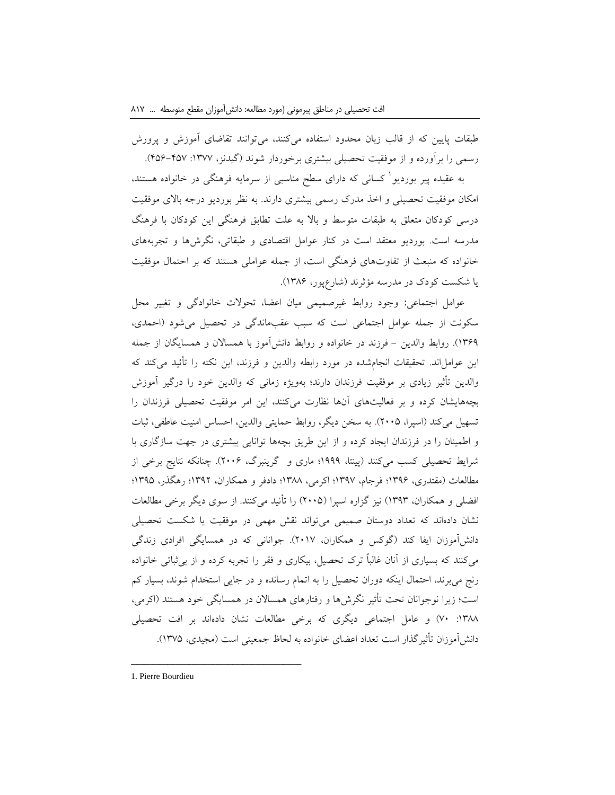طبقات پایین كه از قالب زبان محدود استفاده میكنند، میتوانند تقاضای آموزش و پرورش رسمی را برآورده و از موفقیت تحصیلی بیشتری برخوردار شوند )گیدنز، :1377 019-017(.

1 به عقیده پیر بوردیو كسانی كه دارای سطح مناسبی از سرمایه فرهنگی در خانواده هستند، امکان موفقیت تحصیلی و اخذ مدرک رسمی بیشتری دارند. به نظر بوردیو درجه باالی موفقیت درسی كودكان متعلق به طبقات متوسط و باال به علت تطابق فرهنگی این كودكان با فرهنگ مدرسه است. بوردیو معتقد است در كنار عوامل اقتصادی و طبقاتی، نگرشها و تجربههای خانواده كه منبعث از تفاوتهای فرهنگی است، از جمله عواملی هستند كه بر احتمال موفقیت یا شکست كودک در مدرسه مؤثرند )شارعپور، 1389(.

عوامل اجتماعی**:** وجود روابط غیرصمیمی میان اعضا، تحوالت خانوادگی و تغییر محل سکونت از جمله عوامل اجتماعی است كه سبب عقبماندگی در تحصیل میشود )احمدی، ۱۳۶۹). روابط والدین – فرزند در خانواده و روابط دانش آموز با همسالان و همسایگان از جمله این عوامل اند. تحقیقات انجامشده در مورد رابطه والدین و فرزند، این نکته را تأئید می كند كه والدین تأثیر زیادی بر موفقیت فرزندان دارند؛ بهویژه زمانی كه والدین خود را درگیر آموزش بچههایشان كرده و بر فعالیتهای آنها نظارت میكنند، این امر موفقیت تحصیلی فرزندان را تسهیل میكند (اسپرا، ٢٠٠۵). به سخن دیگر، روابط حمایتی والدین، احساس امنیت عاطفی، ثبات و اطمینان را در فرزندان ایجاد كرده و از این طریق بچهها توانایی بیشتری در جهت سازگاری با شرایط تحصیلی كسب میكنند )پینتا، 1999؛ ماری و گرینبرگ، 2119(. چنانکه نتایج برخی از مطالعات )مقتدری، 1399؛ فرجام، 1397؛ اكرمی، 1388؛ دادفر و همکاران، 1392؛ رهگذر، 1391؛ افضلی و همکاران، 1393( نیز گزاره اسپرا )2111( را تأئید میكنند. از سوی دیگر برخی مطالعات نشان دادهاند كه تعداد دوستان صمیمی میتواند نقش مهمی در موفقیت یا شکست تحصیلی دانشآموزان ایفا كند )گوكس و همکاران، 2117(. جوانانی كه در همسایگی افرادی زندگی میكنند كه بسیاری از آنان غالباً ترک تحصیل، بیکاری و فقر را تجربه كرده و از بیثباتی خانواده رنج میبرند، احتمال اینکه دوران تحصیل را به اتمام رسانده و در جایی استخدام شوند، بسیار كم است؛ زیرا نوجوانان تحت تأثیر نگرشها و رفتارهای همسالان در همسایگی خود هستند (اكرمی، :1388 71( و عامل اجتماعی دیگری كه برخی مطالعات نشان دادهاند بر افت تحصیلی دانشآموزان تأثیرگذار است تعداد اعضای خانواده به لحاظ جمعیتی است )مجیدی، 1371(.

<sup>1.</sup> Pierre Bourdieu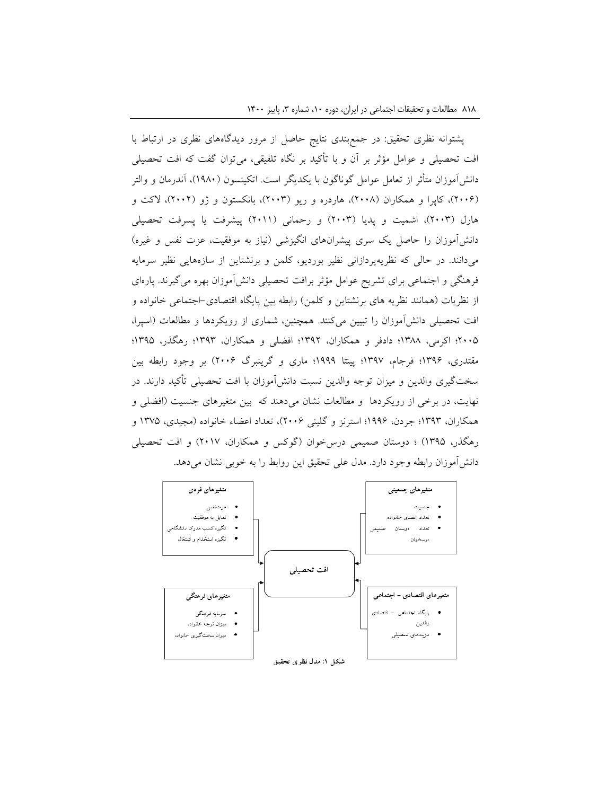پشتوانه نظری تحقیق: در جمعبندی نتایج حاصل از مرور دیدگاههای نظری در ارتباط با افت تحصیلی و عوامل مؤثر بر آن و با تأكید بر نگاه تلفیقی، میتوان گفت كه افت تحصیلی دانش آموزان متأثر از تعامل عوامل گوناگون با یکدیگر است. اتکینسون (۱۹۸۰)، آندرمان و والتر )2119(، كاپرا و همکاران )2118(، هاردره و ریو )2113(، بانکستون و ژو )2112(، الكت و هارل )2113(، اشمیت و پدیا )2113( و رحمانی )2111( پیشرفت یا پسرفت تحصیلی دانشآموزان را حاصل یک سری پیشرانهای انگیزشی (نیاز به موفقیت، عزت نفس و غیره) میدانند. در حالی كه نظریهپردازانی نظیر بوردیو، كلمن و برنشتاین از سازههایی نظیر سرمایه فرهنگی و اجتماعی برای تشریح عوامل مؤثر برافت تحصیلی دانشآموزان بهره میگیرند. پارهای از نظریات (همانند نظریه های برنشتاین و كلمن) رابطه بین پایگاه اقتصادی-اجتماعی خانواده و افت تحصیلی دانشآموزان را تبیین میكنند. همچنین، شماری از رویکردها و مطالعات )اسپرا، 2111؛ اكرمی، 1388؛ دادفر و همکاران، 1392؛ افضلی و همکاران، 1393؛ رهگذر، 1391؛ مقتدری، 1399؛ فرجام، 1397؛ پینتا 1999؛ ماری و گرینبرگ 2119( بر وجود رابطه بین سختگیری والدین و میزان توجه والدین نسبت دانشآموزان با افت تحصیلی تأكید دارند. در نهایت، در برخی از رویکردها و مطالعات نشان میدهند كه بین متغیرهای جنسیت )افضلی و همکاران، 1393؛ جردن، 1999؛ استرنز و گلینی 2119(، تعداد اعضاء خانواده )مجیدی، 1371 و رهگذر، ۱۳۹۵) ؛ دوستان صمیمی درس خوان (گوكس و همکاران، ۲۰۱۷) و افت تحصیلی دانش آموزان رابطه وجود دارد. مدل علی تحقیق این روابط را به خوبی نشان می دهد.

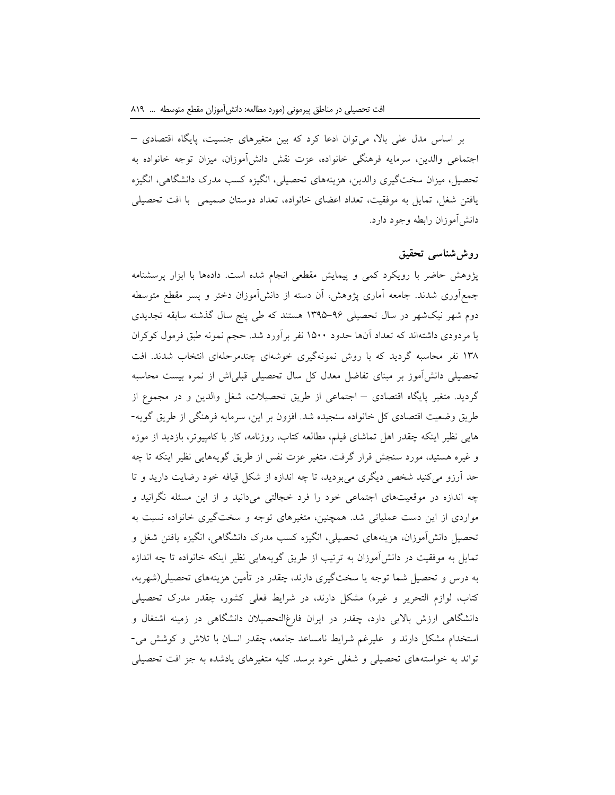بر اساس مدل علی باال، میتوان ادعا كرد كه بین متغیرهای جنسیت، پایگاه اقتصادی – اجتماعی والدین، سرمایه فرهنگی خانواده، عزت نقش دانشآموزان، میزان توجه خانواده به تحصیل، میزان سختگیری والدین، هزینههای تحصیلی، انگیزه كسب مدرک دانشگاهی، انگیزه یافتن شغل، تمایل به موفقیت، تعداد اعضای خانواده، تعداد دوستان صمیمی با افت تحصیلی دانشآموزان رابطه وجود دارد.

### **روششناسی تحقیق**

پژوهش حاضر با رویکرد كمی و پیمایش مقطعی انجام شده است. دادهها با ابزار پرسشنامه جمعآوری شدند. جامعه آماری پژوهش، آن دسته از دانشآموزان دختر و پسر مقطع متوسطه دوم شهر نیکشهر در سال تحصیلی 1391-99 هستند كه طی پنج سال گذشته سابقه تجدیدی یا مردودی داشتهاند كه تعداد آنها حدود 1111 نفر برآورد شد. حجم نمونه طبق فرمول كوكران 138 نفر محاسبه گردید كه با روش نمونهگیری خوشهای چندمرحلهای انتخاب شدند. افت تحصیلی دانشآموز بر مبنای تفاضل معدل كل سال تحصیلی قبلیاش از نمره بیست محاسبه گردید. متغیر پایگاه اقتصادی – اجتماعی از طریق تحصیالت، شغل والدین و در مجموع از طریق وضعیت اقتصادی كل خانواده سنجیده شد. افزون بر این، سرمایه فرهنگی از طریق گویه- هایی نظیر اینکه چقدر اهل تماشای فیلم، مطالعه كتاب، روزنامه، كار با كامپیوتر، بازدید از موزه و غیره هستید، مورد سنجش قرار گرفت. متغیر عزت نفس از طریق گویههایی نظیر اینکه تا چه حد آرزو میكنید شخص دیگری میبودید، تا چه اندازه از شکل قیافه خود رضایت دارید و تا چه اندازه در موقعیتهای اجتماعی خود را فرد خجالتی میدانید و از این مسئله نگرانید و مواردی از این دست عملیاتی شد. همچنین، متغیرهای توجه و سختگیری خانواده نسبت به تحصیل دانشآموزان، هزینههای تحصیلی، انگیزه كسب مدرک دانشگاهی، انگیزه یافتن شغل و تمایل به موفقیت در دانشآموزان به ترتیب از طریق گویههایی نظیر اینکه خانواده تا چه اندازه به درس و تحصیل شما توجه یا سختگیری دارند، چقدر در تأمین هزینههای تحصیلی)شهریه، كتاب، لوازم التحریر و غیره) مشکل دارند، در شرایط فعلی كشور، چقدر مدرک تحصیلی دانشگاهی ارزش باالیی دارد، چقدر در ایران فارغالتحصیالن دانشگاهی در زمینه اشتغال و استخدام مشکل دارند و علیرغم شرایط نامساعد جامعه، چقدر انسان با تالش و كوشش می- تواند به خواستههای تحصیلی و شغلی خود برسد. كلیه متغیرهای یادشده به جز افت تحصیلی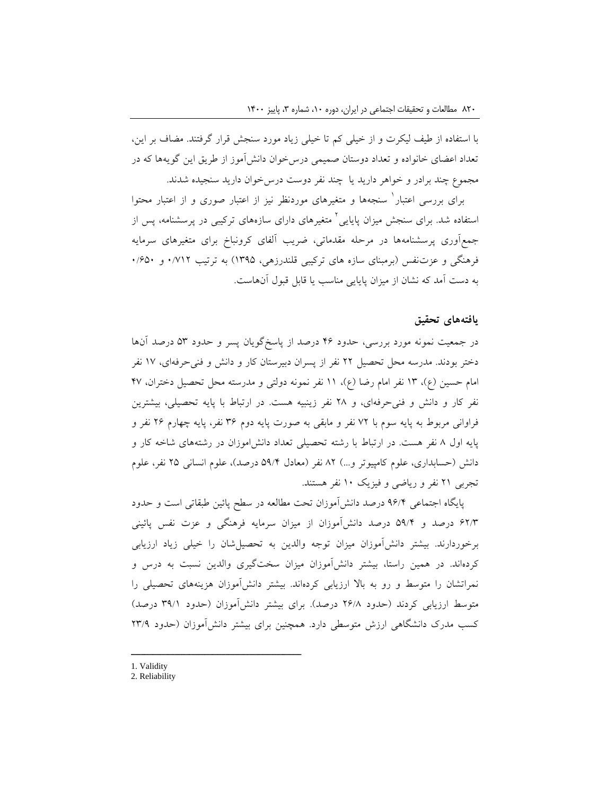با استفاده از طیف لیکرت و از خیلی كم تا خیلی زیاد مورد سنجش قرار گرفتند. مضاف بر این، تعداد اعضای خانواده و تعداد دوستان صمیمی درسخوان دانشآموز از طریق این گویهها كه در مجموع چند برادر و خواهر دارید یا چند نفر دوست درسخوان دارید سنجیده شدند.

برای بررسی اعتبار` سنجهها و متغیرهای موردنظر نیز از اعتبار و از اعتبار محتوا ستفاده شد. برای سنجش میزان پایایی<sup>٬</sup> متغیرهای دارای سازههای ترکیبی در پرسشنامه، پس از جمعآوری پرسشنامهها در مرحله مقدماتی، ضریب آلفای كرونباخ برای متغیرهای سرمایه فرهنگی و عزتنفس )برمبنای سازه های تركیبی قلندرزهی، 1391( به ترتیب 1/712 و 1/911 به دست آمد كه نشان از میزان پایایی مناسب یا قابل قبول آنهاست.

#### **یافتههای تحقیق**

در جمعیت نمونه مورد بررسی، حدود 09 درصد از پاسخگویان پسر و حدود 13 درصد آنها دختر بودند. مدرسه محل تحصیل 22 نفر از پسران دبیرستان كار و دانش و فنیحرفهای، 17 نفر امام حسین (ع)، ١٣ نفر امام رضا (ع)، ١١ نفر نمونه دولتی و مدرسته محل تحصیل دختران، ۴۷ نفر كار و دانش و فنیحرفهای، و 28 نفر زینبیه هست. در ارتباط با پایه تحصیلی، بیشترین فراوانی مربوط به پایه سوم با 72 نفر و مابقی به صورت پایه دوم 39 نفر، پایه چهارم 29 نفر و پایه اول 8 نفر هست. در ارتباط با رشته تحصیلی تعداد دانشاموزان در رشتههای شاخه كار و دانش )حسابداری، علوم كامپیوتر و...( 82 نفر )معادل 19/0 درصد(، علوم انسانی 21 نفر، علوم تجربی 21 نفر و ریاضی و فیزیک 11 نفر هستند.

پایگاه اجتماعی 99/0 درصد دانشآموزان تحت مطالعه در سطح پائین طبقاتی است و حدود 92/3 درصد و 19/0 درصد دانشآموزان از میزان سرمایه فرهنگی و عزت نفس پائینی برخوردارند. بیشتر دانشآموزان میزان توجه والدین به تحصیلشان را خیلی زیاد ارزیابی كردهاند. در همین راستا، بیشتر دانشآموزان میزان سختگیری والدین نسبت به درس و نمراتشان را متوسط و رو به باال ارزیابی كردهاند. بیشتر دانشآموزان هزینههای تحصیلی را متوسط ارزیابی كردند (حدود ۲۶/۸ درصد). برای بیشتر دانشآموزان (حدود ۳۹/۱ درصد) كسب مدرک دانشگاهی ارزش متوسطی دارد. همچنین برای بیشتر دانشآموزان )حدود 23/9

2. Reliability

<sup>1.</sup> Validity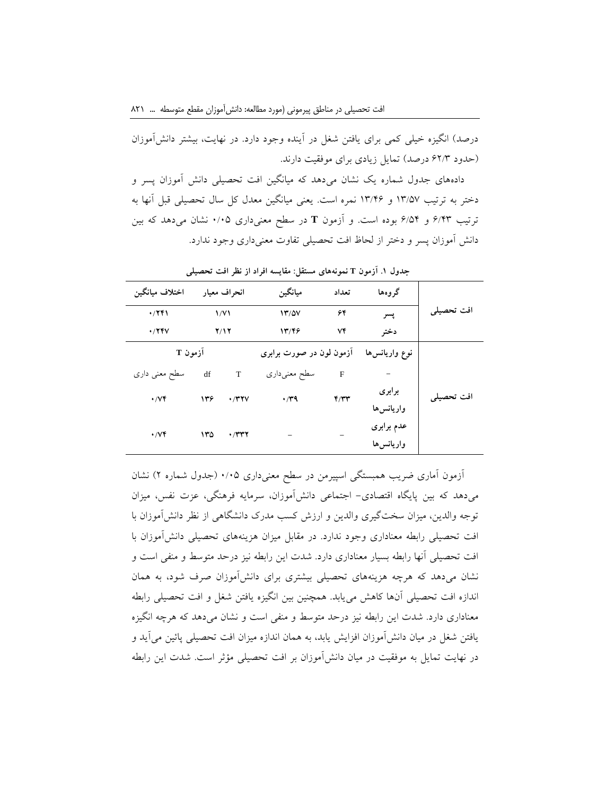درصد) انگیزه خیلی كمی برای یافتن شغل در آینده وجود دارد. در نهایت، بیشتر دانشآموزان )حدود 92/3 درصد( تمایل زیادی برای موفقیت دارند.

دادههای جدول شماره یک نشان میدهد كه میانگین افت تحصیلی دانش آموزان پسر و دختر به ترتیب 13/17 و 13/09 نمره است. یعنی میانگین معدل كل سال تحصیلی قبل آنها به ترتیب 9/03 و 9/10 بوده است. و آزمون **<sup>T</sup>** در سطح معنیداری 1/11 نشان میدهد كه بین دانش آموزان پسر و دختر از لحاظ افت تحصیلی تفاوت معنیداری وجود ندارد.

| اختلاف ميانگين                | انحراف معيار         |                 | ميانگين                  | تعداد        | گروهها                   |            |  |
|-------------------------------|----------------------|-----------------|--------------------------|--------------|--------------------------|------------|--|
| $\cdot$ /٢۴١                  | $\frac{1}{\sqrt{1}}$ |                 | 17/0V                    | ۶۴           | پسر                      | افت تحصيلي |  |
| $\cdot$ /74 $V$               | Y/Y                  |                 | 17799                    | ٧۴           | دختر                     |            |  |
| آزمون T                       |                      |                 | آزمون لون در صورت برابري |              | نوع واريانسها            |            |  |
| سطح معنی داری                 | df                   | T               | سطح معنىدارى             | $\mathbf{F}$ |                          |            |  |
| $\cdot$ / $\vee$ $\check{\ }$ | ۱۳۶                  | $\cdot$ /۳۲ $V$ | $\cdot$ /۳۹              | Y/YY         | برابري<br>واريانس ها     | افت تحصيلي |  |
| $\cdot$ / $\vee$ $\check{\ }$ | ۱۳۵                  | ۰/۳۳۲           |                          |              | عدم برابري<br>واريانس ها |            |  |

**جدول .1 آزمون <sup>T</sup> نمونههای مستقل: مقایسه افراد از نظر افت تحصیلی**

آزمون آماری ضریب همبستگی اسپیرمن در سطح معنیداری 1/11 )جدول شماره 2( نشان میدهد كه بین پایگاه اقتصادی- اجتماعی دانشآموزان، سرمایه فرهنگی، عزت نفس، میزان توجه والدین، میزان سختگیری والدین و ارزش كسب مدرک دانشگاهی از نظر دانشآموزان با افت تحصیلی رابطه معناداری وجود ندارد. در مقابل میزان هزینههای تحصیلی دانشآموزان با افت تحصیلی آنها رابطه بسیار معناداری دارد. شدت این رابطه نیز درحد متوسط و منفی است و نشان میدهد كه هرچه هزینههای تحصیلی بیشتری برای دانشآموزان صرف شود، به همان اندازه افت تحصیلی آنها كاهش مییابد. همچنین بین انگیزه یافتن شغل و افت تحصیلی رابطه معناداری دارد. شدت این رابطه نیز درحد متوسط و منفی است و نشان میدهد كه هرچه انگیزه یافتن شغل در میان دانشآموزان افزایش یابد، به همان اندازه میزان افت تحصیلی پائین میآید و در نهایت تمایل به موفقیت در میان دانشآموزان بر افت تحصیلی مؤثر است. شدت این رابطه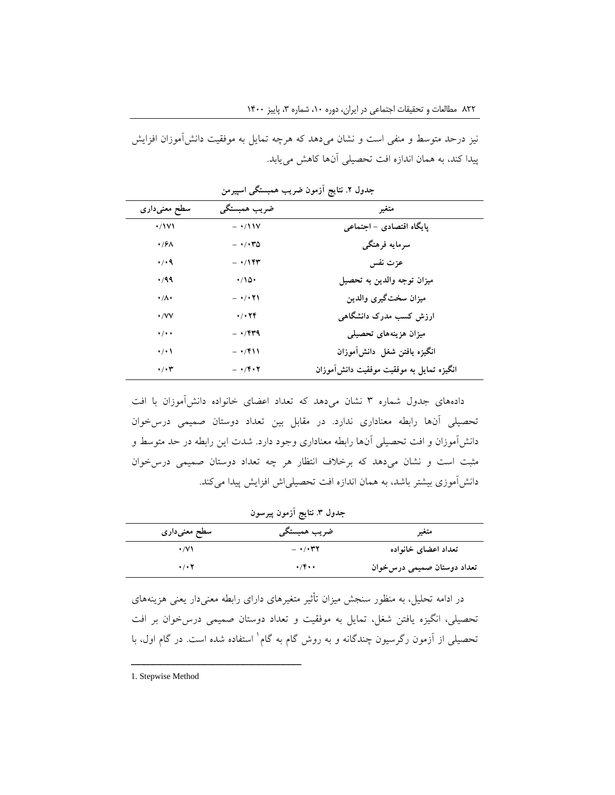نیز درحد متوسط و منفی است و نشان می دهد كه هرچه تمایل به موفقیت دانش آموزان افزایش پیدا كند، به همان اندازه افت تحصیلی آنها كاهش مییابد.

| سطح معنىدارى              | ضريب همبستگي                              | متغير                                    |
|---------------------------|-------------------------------------------|------------------------------------------|
| $\cdot$ /171              | $ \cdot$ /11 $\nu$                        | یایگاه اقتصادی - اجتماعی                 |
| $\cdot$ / $\epsilon$      | $- \cdot / \cdot \cdot \cdot \circ$       | سرمايه فرهنگى                            |
| $\cdot$ / $\cdot$ 9       | $- \cdot/1$ ۴۳                            | عزت نفس                                  |
| ۰٬۹۹                      | $\cdot$ 10.                               | ميزان توجه والدين به تحصيل               |
| $\cdot/\Lambda$           | $ \cdot$ / $\cdot$ $\uparrow$ \           | ميزان سختگيري والدين                     |
| $\cdot$ / $VV$            | 4/179                                     | ارزش کسب مدرک دانشگاهی                   |
| $\cdot$ / $\cdot$ $\cdot$ | $- \cdot$ /۴۳۹                            | میزان هزینههای تحصیلی                    |
| $\cdot$ / $\cdot$         | $- \cdot$ /۴۱۱                            | انگيزه يافتن شغل دانش[موزان              |
| $\cdot/\cdot$ ۳           | $- \cdot$ / $\mathbf{Y} \cdot \mathbf{Y}$ | انگیزه تمایل به موفقیت موفقیت دانش[موزان |

**جدول .1 نتایج آزمون ضریب همبستگی اسپیرمن**

دادههای جدول شماره 3 نشان میدهد كه تعداد اعضای خانواده دانشآموزان با افت تحصیلی آنها رابطه معناداری ندارد. در مقابل بین تعداد دوستان صمیمی درسخوان دانشآموزان و افت تحصیلی آنها رابطه معناداری وجود دارد. شدت این رابطه در حد متوسط و مثبت است و نشان میدهد كه برخالف انتظار هر چه تعداد دوستان صمیمی درسخوان دانشآموزی بیشتر باشد، به همان اندازه افت تحصیلیاش افزایش پیدا میكند.

### **جدول .1 نتایج آزمون پیرسون**

| سطح معنیداری              | ضريب همبستگ <i>ي</i>             | متغير                      |
|---------------------------|----------------------------------|----------------------------|
| $\cdot$ /V \              | $ \cdot$ / $\cdot$ $\tau$ $\tau$ | تعداد اعضای خانواده        |
| $\cdot$ / $\cdot$ $\cdot$ | $\cdot$ /۴۰۰                     | تعداد دوستان صمیمی درسڅوان |

در ادامه تحلیل، به منظور سنجش میزان تأثیر متغیرهای دارای رابطه معنیدار یعنی هزینههای تحصیلی، انگیزه یافتن شغل، تمایل به موفقیت و تعداد دوستان صمیمی درسخوان بر افت تحصیلی از آزمون رگرسیون چندگانه و به روش گام به گام` استفاده شده است. در گام اول، با

<sup>1.</sup> Stepwise Method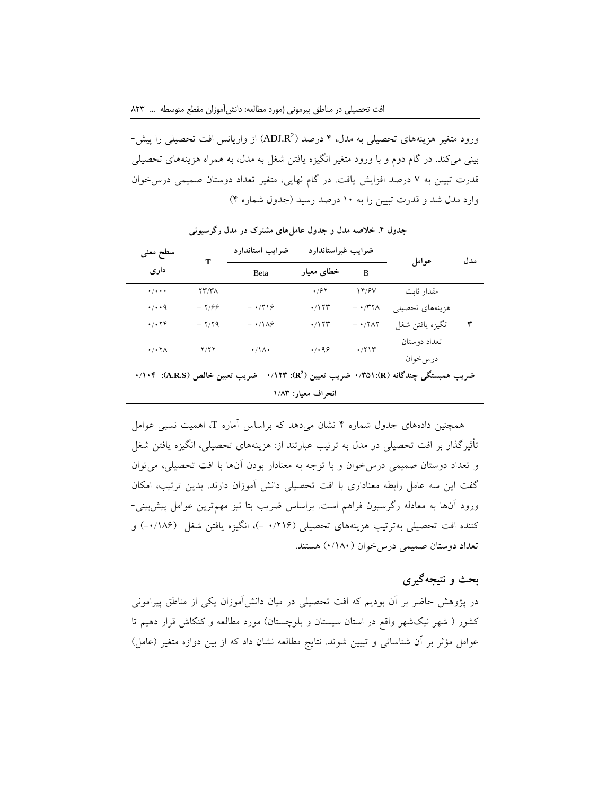ورود متغیر هزینههای تحصیلی به مدل، ۴ درصد (ADJ.R<sup>2</sup>) از واریانس افت تحصیلی را پیش-بینی میكند. در گام دوم و با ورود متغیر انگیزه یافتن شغل به مدل، به همراه هزینههای تحصیلی قدرت تبیین به 7 درصد افزایش یافت. در گام نهایی، متغیر تعداد دوستان صمیمی درسخوان وارد مدل شد و قدرت تبیین را به 11 درصد رسید )جدول شماره 0(

| سطح معنى                                                                               | т                                  | ضرايب استاندارد     | ضرايب غيراستاندارد |                                             | عوامل            | مدل |  |
|----------------------------------------------------------------------------------------|------------------------------------|---------------------|--------------------|---------------------------------------------|------------------|-----|--|
| داری                                                                                   |                                    | Beta                | خطای معیار         | B                                           |                  |     |  |
| $\cdot$ / $\cdot$ $\cdot$                                                              | $\Upsilon\Upsilon/\Upsilon\Lambda$ |                     | $\cdot$ /۶۲        | 14/9V                                       | مقدار ثابت       |     |  |
| $\cdot$ / $\cdot$ 9                                                                    | $-7/99$                            | $- \cdot 719$       | $\cdot$ /۱۲۳       | $ \cdot$ /۳۲۸                               | هزينههاي تحصيلي  |     |  |
| $\cdot$ / $\cdot$ $\uparrow$ $\uparrow$                                                | $-7/79$                            | $- \cdot / \lambda$ | $\cdot$ /۱۲۳       | $ \cdot$ / $\uparrow$ $\uparrow$ $\uparrow$ | انگيزه يافتن شغل | ٣   |  |
| $\cdot$ / $\cdot$ $\uparrow$ $\wedge$                                                  | Y/YY                               | $\cdot/\Lambda$     | .499               | .711                                        | تعداد دوستان     |     |  |
|                                                                                        |                                    |                     |                    |                                             | درسخوان          |     |  |
| ضریب همبستگی چندگانه (R): (R) مهریب تعیین (R): ۱/۲۳.<br>ضريب تعيين خالص (A.R.S): ٠/١٠۴ |                                    |                     |                    |                                             |                  |     |  |
| انحراف معیار: ۱/۸۳                                                                     |                                    |                     |                    |                                             |                  |     |  |

**جدول .6 خالصه مدل و جدول عاملهای مشترک در مدل رگرسیونی**

همچنین دادههای جدول شماره 0 نشان میدهد كه براساس آماره T، اهمیت نسبی عوامل تأثیرگذار بر افت تحصیلی در مدل به ترتیب عبارتند از: هزینههای تحصیلی، انگیزه یافتن شغل و تعداد دوستان صمیمی درسخوان و با توجه به معنادار بودن آنها با افت تحصیلی، میتوان گفت این سه عامل رابطه معناداری با افت تحصیلی دانش آموزان دارند. بدین ترتیب، امکان ورود آنها به معادله رگرسیون فراهم است. براساس ضریب بتا نیز مهمترین عوامل پیشبینی- كننده افت تحصیلی بهترتیب هزینههای تحصیلی (۱/۲۱۶ -)، انگیزه یافتن شغل (۱۸۶/۰-) و تعداد دوستان صمیمی درسخوان )1/181( هستند.

## **بحث و نتیجهگیری**

در پژوهش حاضر بر آن بودیم كه افت تحصیلی در میان دانشآموزان یکی از مناطق پیرامونی كشور ( شهر نیکشهر واقع در استان سیستان و بلوچستان) مورد مطالعه و كنكاش قرار دهیم تا عوامل مؤثر بر آن شناسائی و تبیین شوند. نتایج مطالعه نشان داد كه از بین دوازه متغیر (عامل)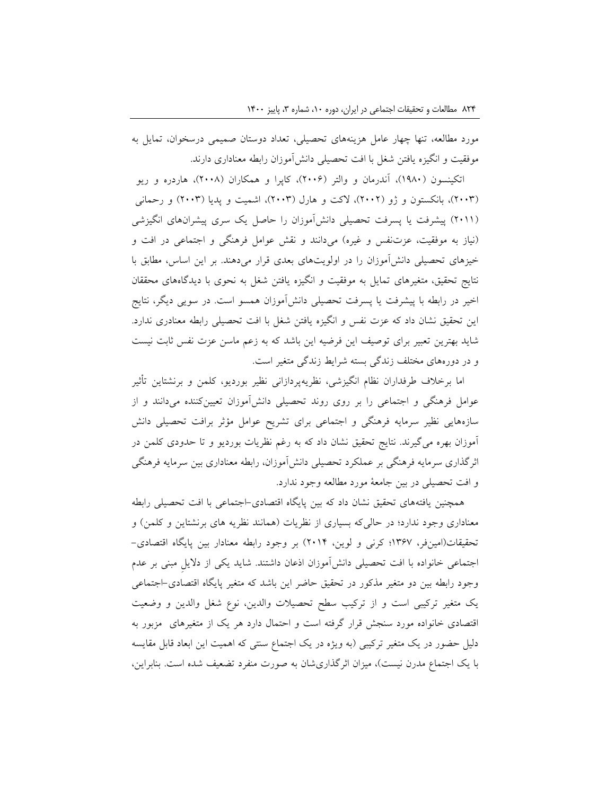مورد مطالعه، تنها چهار عامل هزینههای تحصیلی، تعداد دوستان صمیمی درسخوان، تمایل به موفقیت و انگیزه یافتن شغل با افت تحصیلی دانشآموزان رابطه معناداری دارند.

اتکینسون )1981(، آندرمان و والتر )2119(، كاپرا و همکاران )2118(، هاردره و ریو )2113(، بانکستون و ژو )2112(، الكت و هارل )2113(، اشمیت و پدیا )2113( و رحمانی )2111( پیشرفت یا پسرفت تحصیلی دانشآموزان را حاصل یک سری پیشرانهای انگیزشی )نیاز به موفقیت، عزتنفس و غیره( میدانند و نقش عوامل فرهنگی و اجتماعی در افت و خیزهای تحصیلی دانشآموزان را در اولویتهای بعدی قرار میدهند. بر این اساس، مطابق با نتایج تحقیق، متغیرهای تمایل به موفقیت و انگیزه یافتن شغل به نحوی با دیدگاههای محققان اخیر در رابطه با پیشرفت یا پسرفت تحصیلی دانشآموزان همسو است. در سویی دیگر، نتایج این تحقیق نشان داد كه عزت نفس و انگیزه یافتن شغل با افت تحصیلی رابطه معنادری ندارد. شاید بهترین تعبیر برای توصیف این فرضیه این باشد كه به زعم ماسن عزت نفس ثابت نیست و در دورههای مختلف زندگی بسته شرایط زندگی متغیر است.

اما برخالف طرفداران نظام انگیزشی، نظریهپردازانی نظیر بوردیو، كلمن و برنشتاین تأثیر عوامل فرهنگی و اجتماعی را بر روی روند تحصیلی دانشآموزان تعیینكننده میدانند و از سازههایی نظیر سرمایه فرهنگی و اجتماعی برای تشریح عوامل مؤثر برافت تحصیلی دانش آموزان بهره میگیرند. نتایج تحقیق نشان داد كه به رغم نظریات بوردیو و تا حدودی كلمن در اثرگذاری سرمایه فرهنگی بر عملکرد تحصیلی دانشآموزان، رابطه معناداری بین سرمایه فرهنگی و افت تحصیلی در بین جامعۀ مورد مطالعه وجود ندارد.

همچنین یافتههای تحقیق نشان داد كه بین پایگاه اقتصادی-اجتماعی با افت تحصیلی رابطه معناداری وجود ندارد؛ در حالیکه بسیاری از نظریات (همانند نظریه های برنشتاین و كلمن) و تحقیقات)امینفر، 1397؛ كرنی و لوین، 2110( بر وجود رابطه معنادار بین پایگاه اقتصادی- اجتماعی خانواده با افت تحصیلی دانشآموزان اذعان داشتند. شاید یکی از دالیلِ مبنی بر عدم وجود رابطه بین دو متغیر مذكور در تحقیق حاضر این باشد كه متغیر پایگاه اقتصادی-اجتماعی یک متغیر تركیبی است و از تركیب سطح تحصیالت والدین، نوع شغل والدین و وضعیت اقتصادی خانواده مورد سنجش قرار گرفته است و احتمال دارد هر یک از متغیرهای مزبور به دلیل حضور در یک متغیر تركیبی (به ویژه در یک اجتماع سنتی كه اهمیت این ابعاد قابل مقایسه با یک اجتماع مدرن نیست)، میزان اثرگذاریشان به صورت منفرد تضعیف شده است. بنابراین،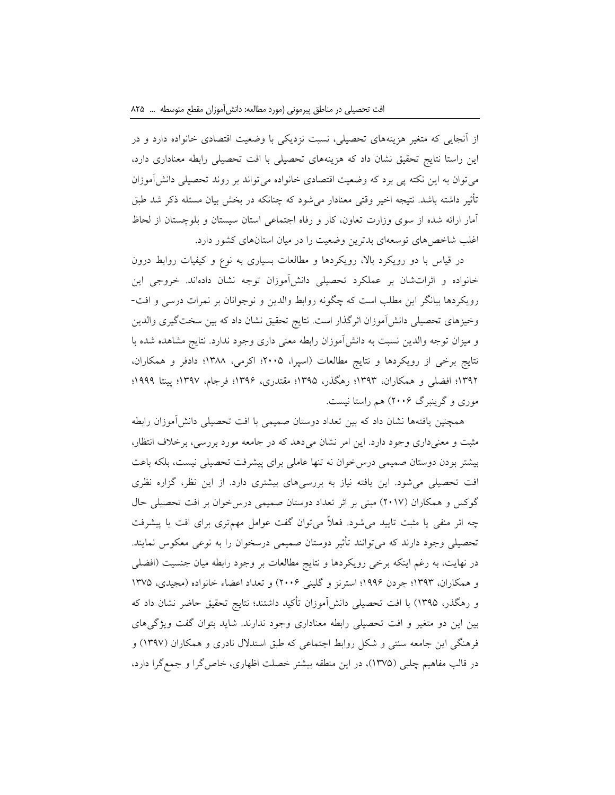از آنجایی كه متغیر هزینههای تحصیلی، نسبت نزدیکی با وضعیت اقتصادی خانواده دارد و در این راستا نتایج تحقیق نشان داد كه هزینههای تحصیلی با افت تحصیلی رابطه معناداری دارد، میتوان به این نکته پی برد كه وضعیت اقتصادی خانواده میتواند بر روند تحصیلی دانشآموزان تأثیر داشته باشد. نتیجه اخیر وقتی معنادار میشود كه چنانکه در بخش بیان مسئله ذكر شد طبق آمار ارائه شده از سوی وزارت تعاون، كار و رفاه اجتماعی استان سیستان و بلوچستان از لحاظ اغلب شاخصهای توسعهای بدترین وضعیت را در میان استانهای كشور دارد.

در قیاس با دو رویکرد باال، رویکردها و مطالعات بسیاری به نوع و كیفیات روابط درون خانواده و اثراتشان بر عملکرد تحصیلی دانشآموزان توجه نشان دادهاند. خروجی این رویکردها بیانگر این مطلب است كه چگونه روابط والدین و نوجوانان بر نمرات درسی و افت- وخیزهای تحصیلی دانشآموزان اثرگذار است. نتایج تحقیق نشان داد كه بین سختگیری والدین و میزان توجه والدین نسبت به دانشآموزان رابطه معنی داری وجود ندارد. نتایج مشاهده شده با نتایج برخی از رویکردها و نتایج مطالعات )اسپرا، 2111؛ اكرمی، 1388؛ دادفر و همکاران، 1392؛ افضلی و همکاران، 1393؛ رهگذر، 1391؛ مقتدری، 1399؛ فرجام، 1397؛ پینتا 1999؛ موری و گرینبرگ 2119( هم راستا نیست.

همچنین یافتهها نشان داد كه بین تعداد دوستان صمیمی با افت تحصیلی دانشآموزان رابطه مثبت و معنیداری وجود دارد. این امر نشان میدهد كه در جامعه مورد بررسی، برخالف انتظار، بیشتر بودن دوستان صمیمی درسخوان نه تنها عاملی برای پیشرفت تحصیلی نیست، بلکه باعث افت تحصیلی میشود. این یافته نیاز به بررسیهای بیشتری دارد. از این نظر، گزاره نظری گوكس و همكاران (٢٠١٧) مبنی بر اثر تعداد دوستان صمیمی درس خوان بر افت تحصیلی حال چه اثر منفی یا مثبت تایید میشود. فعالً میتوان گفت عوامل مهمتری برای افت یا پیشرفت تحصیلی وجود دارند كه میتوانند تأثیر دوستان صمیمی درسخوان را به نوعی معکوس نمایند. در نهایت، به رغم اینکه برخی رویکردها و نتایج مطالعات بر وجود رابطه میان جنسیت )افضلی و همکاران، 1393؛ جردن 1999؛ استرنز و گلینی 2119( و تعداد اعضاء خانواده )مجیدی، 1371 و رهگذر، 1391( با افت تحصیلی دانشآموزان تأكید داشتند؛ نتایج تحقیق حاضر نشان داد كه بین این دو متغیر و افت تحصیلی رابطه معناداری وجود ندارند. شاید بتوان گفت ویژگیهای فرهنگی این جامعه سنتی و شکل روابط اجتماعی كه طبق استدالل نادری و همکاران )1397( و در قالب مفاهیم چلبی (۱۳۷۵)، در این منطقه بیشتر خصلت اظهاری، خاص گرا و جمع گرا دارد،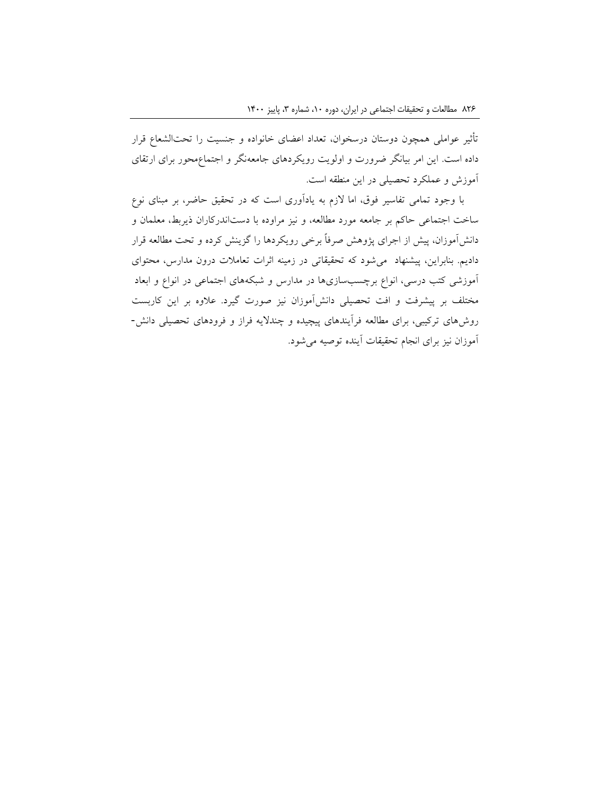تأثیر عواملی همچون دوستان درسخوان، تعداد اعضای خانواده و جنسیت را تحتالشعاع قرار داده است. این امر بیانگر ضرورت و اولویت رویکردهای جامعهنگر و اجتماعمحور برای ارتقای آموزش و عملکرد تحصیلی در این منطقه است.

با وجود تمامی تفاسیر فوق، اما الزم به یادآوری است كه در تحقیق حاضر، بر مبنای نوع ساخت اجتماعی حاكم بر جامعه مورد مطالعه، و نیز مراوده با دستاندركاران ذیربط، معلمان و دانشآموزان، پیش از اجرای پژوهش صرفاً برخی رویکردها را گزینش كرده و تحت مطالعه قرار دادیم. بنابراین، پیشنهاد میشود كه تحقیقاتی در زمینه اثرات تعامالت درون مدارس، محتوای آموزشی كتب درسی، انواع برچسبسازیها در مدارس و شبکههای اجتماعی در انواع و ابعاد مختلف بر پیشرفت و افت تحصیلی دانشآموزان نیز صورت گیرد. عالوه بر این كاربست روشهای تركیبی، برای مطالعه فرآیندهای پیچیده و چندالیه فراز و فرودهای تحصیلی دانش- آموزان نیز برای انجام تحقیقات آینده توصیه میشود.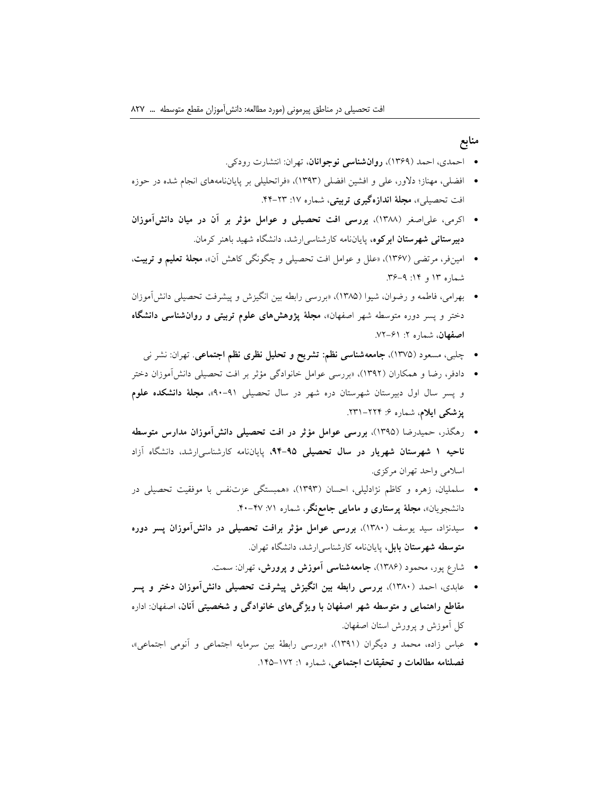## **منابع**

- احمدی، احمد )1399(، **روانشناسی نوجوانان**، تهران: انتشارت رودكی.
- افضلی، مهناز؛ دالور، علی و افشین افضلی )1393(، »فراتحلیلی بر پایاننامههای انجام شده در حوزه افت تحصیل<sub>ی»</sub>، م**جلهٔ اندازهگیری تربیتی**، شماره ۱۷: ۲۳–۴۴.
- اكرمی، علیاصغر )1388(، **بررسی افت تحصیلی و عوامل مؤثر بر آن در میان دانشآموزان دبیرستانی شهرستان ابرکوه،** پایاننامه كارشناسیارشد، دانشگاه شهید باهنر كرمان.
- امینفر، مرتضی )1397(، »علل و عوامل افت تحصیلی و چگونگی كاهش آن«، **مجلة تعلیم و تربیت**، شماره ۱۳ و ۱۴: ۹-۳۶.
- بهرامی، فاطمه و رضوان، شیوا )1381(، »بررسی رابطه بین انگیزش و پیشرفت تحصیلی دانشآموزان دختر و پسر دوره متوسطه شهر اصفهان«، **مجلة پژوهشهای علوم تربیتی و روانشناسی دانشگاه اصفهان**، شماره ٢: ۶۱-٧٢.
	- چلبی، مسعود )1371(، **جامعهشناسی نظم: تشریح و تحلیل نظری نظم اجتماعی**. تهران: نشر نی
- دادفر، رضا و همکاران )1392(، »بررسی عوامل خانوادگی مؤثر بر افت تحصیلی دانشآموزان دختر و پسر سال اول دبیرستان شهرستان دره شهر در سال تحصیلی 91-91«، **مجلة دانشکده علوم پزشکی ایلام**، شماره ۶: ۲۲۴–۲۳۱.
- رهگذر، حمیدرضا )1391(، **بررسی عوامل مؤثر در افت تحصیلی دانشآموزان مدارس متوسطه ناحیه 1 شهرستان شهریار در سال تحصیلی ،36-37** پایاننامه كارشناسیارشد، دانشگاه آزاد اسالمی واحد تهران مركزی.
- سلملیان، زهره و كاظم نژادلیلی، احسان )1393(، »همبستگی عزتنفس با موفقیت تحصیلی در دانشجویان»، **مجلهٔ پرستاری و مامایی جامعنگر**، شماره ۷۱ـ ۴۷-۴۰.
- سیدنژاد، سید یوسف )1381(، **بررسی عوامل مؤثر برافت تحصیلی در دانشآموزان پسر دوره متوسطه شهرستان بابل،** پایاننامه كارشناسیارشد، دانشگاه تهران.
	- شارع پور، محمود )1389(، **جامعهشناسی آموزش و پرورش،** تهران: سمت.
- عابدی، احمد )1381(، **بررسی رابطه بین انگیزش پیشرفت تحصیلی دانشآموزان دختر و پسر مقاطع راهنمایی و متوسطه شهر اصفهان با ویژگیهای خانوادگی و شخصیتی آنان،** اصفهان: اداره كل آموزش و پرورش استان اصفهان.
- عباس زاده، محمد و دیگران )1391(، »بررسی رابطۀ بین سرمایه اجتماعی و آنومی اجتماعی«، **فصلنامه مطالعات و تحقیقات اجتماعی**، شماره :1 .101-172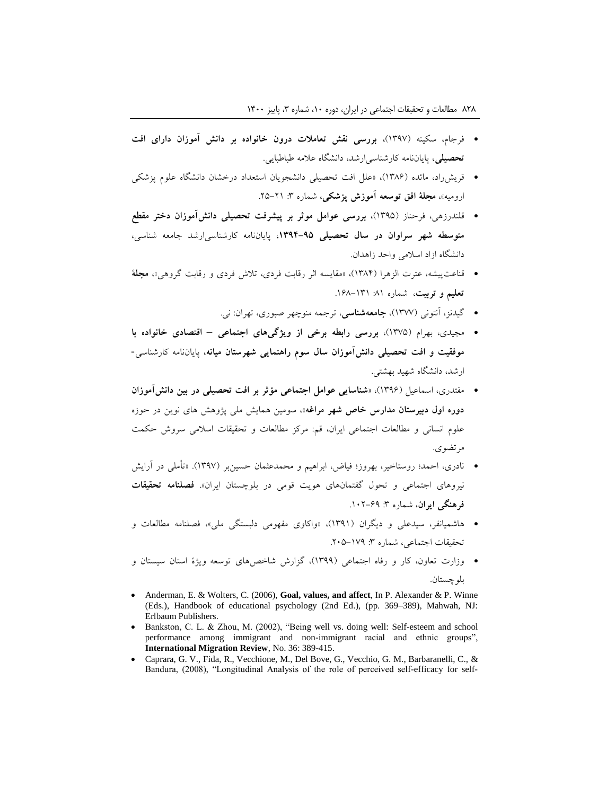- فرجام، سکینه )1397(، **بررسی نقش تعامالت درون خانواده بر دانش آموزان دارای افت تحصیلی،** پایاننامه كارشناسیارشد، دانشگاه عالمه طباطبایی.
- قریشراد، مائده )1389(، »علل افت تحصیلی دانشجویان استعداد درخشان دانشگاه علوم پزشکی ارومیه»، **مجلهٔ افق توسعه آموزش پزشکی**، شماره ۳: ۲۱–۲۵.
- قلندرزهی، فرحناز )1391(، **بررسی عوامل موثر بر پیشرفت تحصیلی دانشآموزان دختر مقطع متوسطه شهر سراوان در سال تحصیلی ،1136-37** پایاننامه كارشناسیارشد جامعه شناسی، دانشگاه ازاد اسالمی واحد زاهدان.
- قناعتپیشه، عترت الزهرا )1380(، »مقایسه اثر رقابت فردی، تالش فردی و رقابت گروهی«، **مجلة تعلیم و تربیت**، شماره :81 .198-131
	- گیدنز، آنتونی )1377(، **جامعهشناسی**، ترجمه منوچهر صبوری، تهران: نی.
- مجیدی، بهرام )1371(، **بررسی رابطه برخی از ویژگیهای اجتماعی – اقتصادی خانواده با موفقیت و افت تحصیلی دانشآموزان سال سوم راهنمایی شهرستان میانه**، پایاننامه كارشناسی- ارشد، دانشگاه شهید بهشتی.
- مقتدری، اسماعیل )1399(، »**شناسایی عوامل اجتماعی مؤثر بر افت تحصیلی در بین دانشآموزان دوره اول دبیرستان مدارس خاص شهر مراغه**«، سومین همایش ملی پژوهش های نوین در حوزه علوم انسانی و مطالعات اجتماعی ایران، قم: مركز مطالعات و تحقیقات اسالمی سروش حکمت مرتضوی.
- نادری، احمد؛ روستاخیر، بهروز؛ فیاض، ابراهیم و محمدعثمان حسینبر )1397(. »تأملی در آرایش نیروهای اجتماعی و تحول گفتمانهای هویت قومی در بلوچستان ایران«. **فصلنامه تحقیقات**  فرهنگی ایران، شماره ۳: ۶۹–۱۰۲.
- هاشمیانفر، سیدعلی و دیگران )1391(، »واكاوی مفهومی دلبستگی ملی«، فصلنامه مطالعات و تحقیقات اجتماعی، شماره ٣: ١٧٩-٢٠۵.
- وزارت تعاون، كار و رفاه اجتماعی )1399(، گزارش شاخصهای توسعه ویژۀ استان سیستان و بلوچستان.
- Anderman, E. & Wolters, C. (2006), **Goal, values, and affect**, In P. Alexander & P. Winne (Eds.), Handbook of educational psychology (2nd Ed.), (pp. 369–389), Mahwah, NJ: Erlbaum Publishers.
- Bankston, C. L. & Zhou, M. (2002), "Being well vs. doing well: Self-esteem and school performance among immigrant and non-immigrant racial and ethnic groups", **International Migration Review**, No. 36: 389-415.
- Caprara, G. V., Fida, R., Vecchione, M., Del Bove, G., Vecchio, G. M., Barbaranelli, C., & Bandura, (2008), "Longitudinal Analysis of the role of perceived self-efficacy for self-